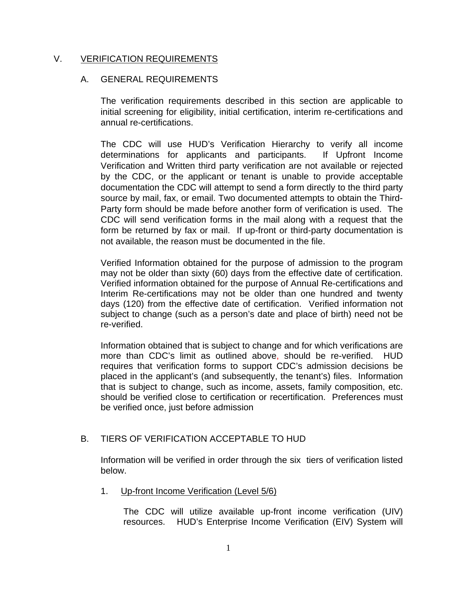# V. VERIFICATION REQUIREMENTS

# A. GENERAL REQUIREMENTS

The verification requirements described in this section are applicable to initial screening for eligibility, initial certification, interim re-certifications and annual re-certifications.

The CDC will use HUD's Verification Hierarchy to verify all income determinations for applicants and participants. If Upfront Income Verification and Written third party verification are not available or rejected by the CDC, or the applicant or tenant is unable to provide acceptable documentation the CDC will attempt to send a form directly to the third party source by mail, fax, or email. Two documented attempts to obtain the Third-Party form should be made before another form of verification is used. The CDC will send verification forms in the mail along with a request that the form be returned by fax or mail. If up-front or third-party documentation is not available, the reason must be documented in the file.

Verified Information obtained for the purpose of admission to the program may not be older than sixty (60) days from the effective date of certification. Verified information obtained for the purpose of Annual Re-certifications and Interim Re-certifications may not be older than one hundred and twenty days (120) from the effective date of certification. Verified information not subject to change (such as a person's date and place of birth) need not be re-verified.

Information obtained that is subject to change and for which verifications are more than CDC's limit as outlined above, should be re-verified. HUD requires that verification forms to support CDC's admission decisions be placed in the applicant's (and subsequently, the tenant's) files. Information that is subject to change, such as income, assets, family composition, etc. should be verified close to certification or recertification. Preferences must be verified once, just before admission

# B. TIERS OF VERIFICATION ACCEPTABLE TO HUD

Information will be verified in order through the six tiers of verification listed below.

1. Up-front Income Verification (Level 5/6)

The CDC will utilize available up-front income verification (UIV) resources. HUD's Enterprise Income Verification (EIV) System will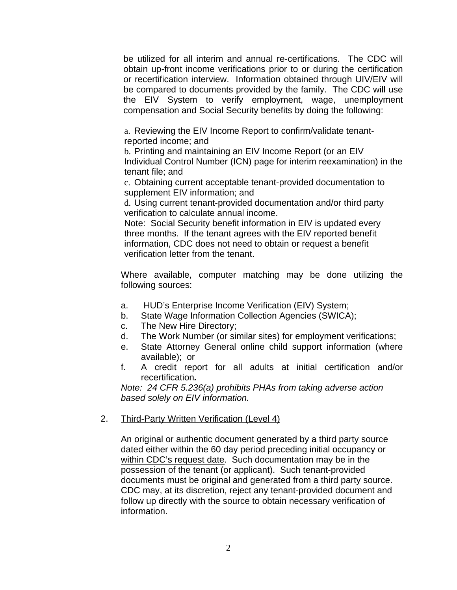be utilized for all interim and annual re-certifications. The CDC will obtain up-front income verifications prior to or during the certification or recertification interview. Information obtained through UIV/EIV will be compared to documents provided by the family. The CDC will use the EIV System to verify employment, wage, unemployment compensation and Social Security benefits by doing the following:

a. Reviewing the EIV Income Report to confirm/validate tenantreported income; and

b. Printing and maintaining an EIV Income Report (or an EIV Individual Control Number (ICN) page for interim reexamination) in the tenant file; and

c. Obtaining current acceptable tenant-provided documentation to supplement EIV information; and

d. Using current tenant-provided documentation and/or third party verification to calculate annual income.

Note: Social Security benefit information in EIV is updated every three months. If the tenant agrees with the EIV reported benefit information, CDC does not need to obtain or request a benefit verification letter from the tenant.

Where available, computer matching may be done utilizing the following sources:

- a. HUD's Enterprise Income Verification (EIV) System;
- b. State Wage Information Collection Agencies (SWICA);
- c. The New Hire Directory;
- d. The Work Number (or similar sites) for employment verifications;
- e. State Attorney General online child support information (where available); or
- f. A credit report for all adults at initial certification and/or recertification*.*

*Note: 24 CFR 5.236(a) prohibits PHAs from taking adverse action based solely on EIV information.* 

#### 2. Third-Party Written Verification (Level 4)

An original or authentic document generated by a third party source dated either within the 60 day period preceding initial occupancy or within CDC's request date. Such documentation may be in the possession of the tenant (or applicant). Such tenant-provided documents must be original and generated from a third party source. CDC may, at its discretion, reject any tenant-provided document and follow up directly with the source to obtain necessary verification of information.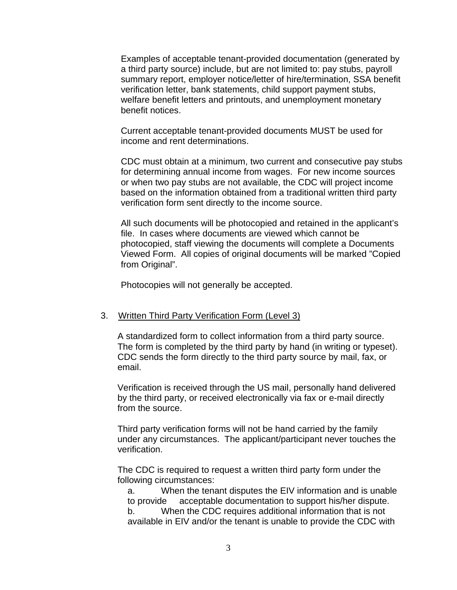Examples of acceptable tenant-provided documentation (generated by a third party source) include, but are not limited to: pay stubs, payroll summary report, employer notice/letter of hire/termination, SSA benefit verification letter, bank statements, child support payment stubs, welfare benefit letters and printouts, and unemployment monetary benefit notices.

Current acceptable tenant-provided documents MUST be used for income and rent determinations.

CDC must obtain at a minimum, two current and consecutive pay stubs for determining annual income from wages. For new income sources or when two pay stubs are not available, the CDC will project income based on the information obtained from a traditional written third party verification form sent directly to the income source.

All such documents will be photocopied and retained in the applicant's file. In cases where documents are viewed which cannot be photocopied, staff viewing the documents will complete a Documents Viewed Form. All copies of original documents will be marked "Copied from Original".

Photocopies will not generally be accepted.

#### 3. Written Third Party Verification Form (Level 3)

A standardized form to collect information from a third party source. The form is completed by the third party by hand (in writing or typeset). CDC sends the form directly to the third party source by mail, fax, or email.

Verification is received through the US mail, personally hand delivered by the third party, or received electronically via fax or e-mail directly from the source.

Third party verification forms will not be hand carried by the family under any circumstances. The applicant/participant never touches the verification.

The CDC is required to request a written third party form under the following circumstances:

a. When the tenant disputes the EIV information and is unable to provide acceptable documentation to support his/her dispute.

b. When the CDC requires additional information that is not available in EIV and/or the tenant is unable to provide the CDC with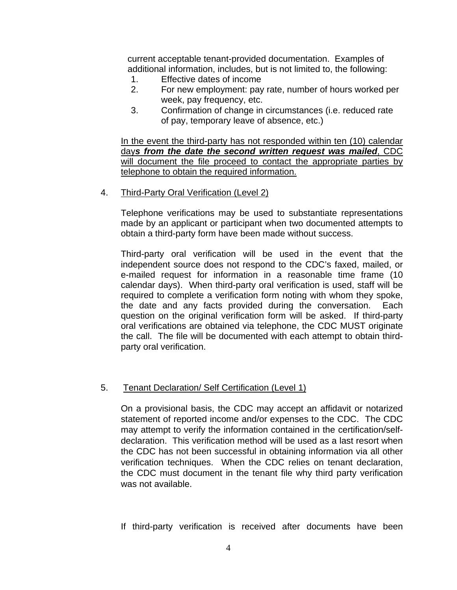current acceptable tenant-provided documentation. Examples of additional information, includes, but is not limited to, the following:

- 1. Effective dates of income
- 2. For new employment: pay rate, number of hours worked per week, pay frequency, etc.
- 3. Confirmation of change in circumstances (i.e. reduced rate of pay, temporary leave of absence, etc.)

In the event the third-party has not responded within ten (10) calendar day*s from the date the second written request was mailed*, CDC will document the file proceed to contact the appropriate parties by telephone to obtain the required information.

#### 4. Third-Party Oral Verification (Level 2)

Telephone verifications may be used to substantiate representations made by an applicant or participant when two documented attempts to obtain a third-party form have been made without success.

Third-party oral verification will be used in the event that the independent source does not respond to the CDC's faxed, mailed, or e-mailed request for information in a reasonable time frame (10 calendar days). When third-party oral verification is used, staff will be required to complete a verification form noting with whom they spoke, the date and any facts provided during the conversation. Each question on the original verification form will be asked. If third-party oral verifications are obtained via telephone, the CDC MUST originate the call. The file will be documented with each attempt to obtain thirdparty oral verification.

#### 5. Tenant Declaration/ Self Certification (Level 1)

On a provisional basis, the CDC may accept an affidavit or notarized statement of reported income and/or expenses to the CDC. The CDC may attempt to verify the information contained in the certification/selfdeclaration. This verification method will be used as a last resort when the CDC has not been successful in obtaining information via all other verification techniques. When the CDC relies on tenant declaration, the CDC must document in the tenant file why third party verification was not available.

If third-party verification is received after documents have been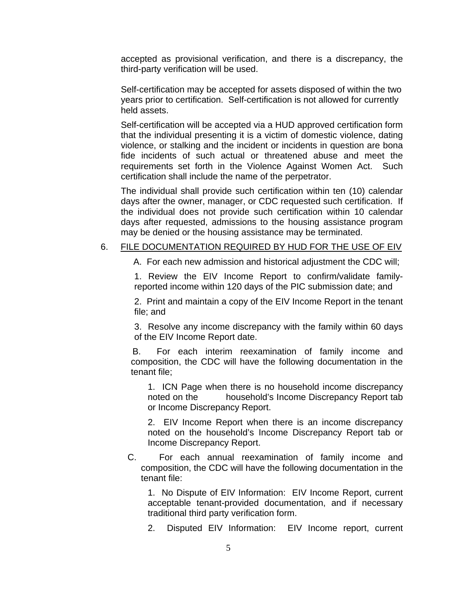accepted as provisional verification, and there is a discrepancy, the third-party verification will be used.

Self-certification may be accepted for assets disposed of within the two years prior to certification. Self-certification is not allowed for currently held assets.

Self-certification will be accepted via a HUD approved certification form that the individual presenting it is a victim of domestic violence, dating violence, or stalking and the incident or incidents in question are bona fide incidents of such actual or threatened abuse and meet the requirements set forth in the Violence Against Women Act. Such certification shall include the name of the perpetrator.

The individual shall provide such certification within ten (10) calendar days after the owner, manager, or CDC requested such certification. If the individual does not provide such certification within 10 calendar days after requested, admissions to the housing assistance program may be denied or the housing assistance may be terminated.

#### 6. FILE DOCUMENTATION REQUIRED BY HUD FOR THE USE OF EIV

A. For each new admission and historical adjustment the CDC will;

1. Review the EIV Income Report to confirm/validate familyreported income within 120 days of the PIC submission date; and

2. Print and maintain a copy of the EIV Income Report in the tenant file; and

3. Resolve any income discrepancy with the family within 60 days of the EIV Income Report date.

 B. For each interim reexamination of family income and composition, the CDC will have the following documentation in the tenant file;

 1. ICN Page when there is no household income discrepancy noted on the household's Income Discrepancy Report tab or Income Discrepancy Report.

2. EIV Income Report when there is an income discrepancy noted on the household's Income Discrepancy Report tab or Income Discrepancy Report.

C. For each annual reexamination of family income and composition, the CDC will have the following documentation in the tenant file:

 1. No Dispute of EIV Information: EIV Income Report, current acceptable tenant-provided documentation, and if necessary traditional third party verification form.

2. Disputed EIV Information: EIV Income report, current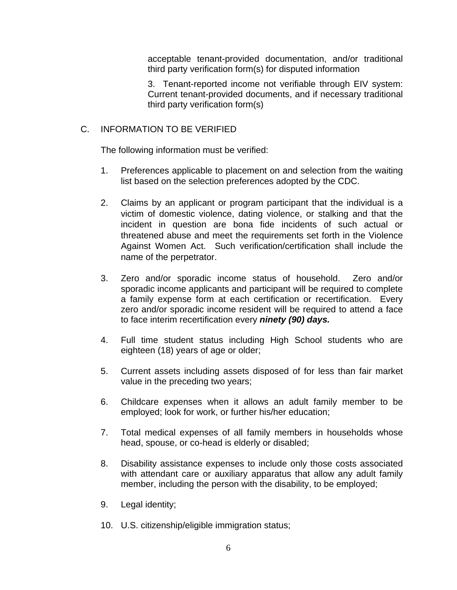acceptable tenant-provided documentation, and/or traditional third party verification form(s) for disputed information

3. Tenant-reported income not verifiable through EIV system: Current tenant-provided documents, and if necessary traditional third party verification form(s)

# C. INFORMATION TO BE VERIFIED

The following information must be verified:

- 1. Preferences applicable to placement on and selection from the waiting list based on the selection preferences adopted by the CDC.
- 2. Claims by an applicant or program participant that the individual is a victim of domestic violence, dating violence, or stalking and that the incident in question are bona fide incidents of such actual or threatened abuse and meet the requirements set forth in the Violence Against Women Act. Such verification/certification shall include the name of the perpetrator.
- 3. Zero and/or sporadic income status of household. Zero and/or sporadic income applicants and participant will be required to complete a family expense form at each certification or recertification. Every zero and/or sporadic income resident will be required to attend a face to face interim recertification every *ninety (90) days.*
- 4. Full time student status including High School students who are eighteen (18) years of age or older;
- 5. Current assets including assets disposed of for less than fair market value in the preceding two years;
- 6. Childcare expenses when it allows an adult family member to be employed; look for work, or further his/her education;
- 7. Total medical expenses of all family members in households whose head, spouse, or co-head is elderly or disabled;
- 8. Disability assistance expenses to include only those costs associated with attendant care or auxiliary apparatus that allow any adult family member, including the person with the disability, to be employed;
- 9. Legal identity;
- 10. U.S. citizenship/eligible immigration status;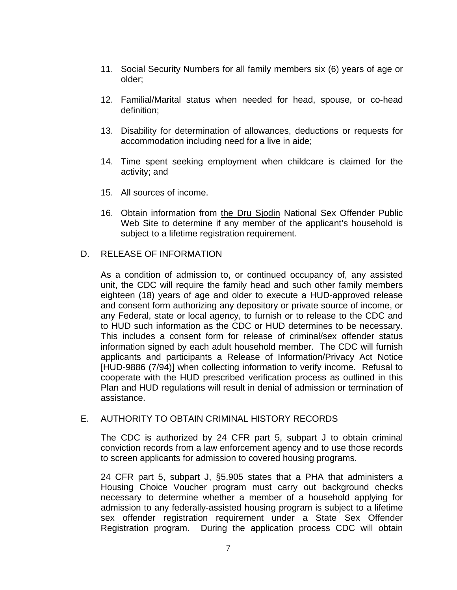- 11. Social Security Numbers for all family members six (6) years of age or older;
- 12. Familial/Marital status when needed for head, spouse, or co-head definition;
- 13. Disability for determination of allowances, deductions or requests for accommodation including need for a live in aide;
- 14. Time spent seeking employment when childcare is claimed for the activity; and
- 15. All sources of income.
- 16. Obtain information from the Dru Sjodin National Sex Offender Public Web Site to determine if any member of the applicant's household is subject to a lifetime registration requirement.

# D. RELEASE OF INFORMATION

As a condition of admission to, or continued occupancy of, any assisted unit, the CDC will require the family head and such other family members eighteen (18) years of age and older to execute a HUD-approved release and consent form authorizing any depository or private source of income, or any Federal, state or local agency, to furnish or to release to the CDC and to HUD such information as the CDC or HUD determines to be necessary. This includes a consent form for release of criminal/sex offender status information signed by each adult household member. The CDC will furnish applicants and participants a Release of Information/Privacy Act Notice [HUD-9886 (7/94)] when collecting information to verify income. Refusal to cooperate with the HUD prescribed verification process as outlined in this Plan and HUD regulations will result in denial of admission or termination of assistance.

# E. AUTHORITY TO OBTAIN CRIMINAL HISTORY RECORDS

The CDC is authorized by 24 CFR part 5, subpart J to obtain criminal conviction records from a law enforcement agency and to use those records to screen applicants for admission to covered housing programs.

24 CFR part 5, subpart J, §5.905 states that a PHA that administers a Housing Choice Voucher program must carry out background checks necessary to determine whether a member of a household applying for admission to any federally-assisted housing program is subject to a lifetime sex offender registration requirement under a State Sex Offender Registration program. During the application process CDC will obtain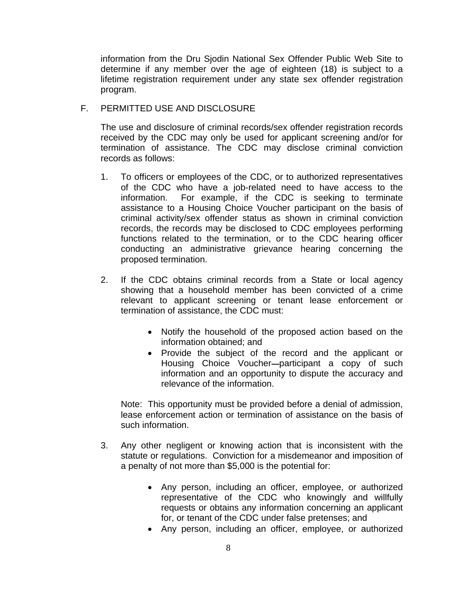information from the Dru Sjodin National Sex Offender Public Web Site to determine if any member over the age of eighteen (18) is subject to a lifetime registration requirement under any state sex offender registration program.

# F. PERMITTED USE AND DISCLOSURE

The use and disclosure of criminal records/sex offender registration records received by the CDC may only be used for applicant screening and/or for termination of assistance. The CDC may disclose criminal conviction records as follows:

- 1. To officers or employees of the CDC, or to authorized representatives of the CDC who have a job-related need to have access to the information. For example, if the CDC is seeking to terminate assistance to a Housing Choice Voucher participant on the basis of criminal activity/sex offender status as shown in criminal conviction records, the records may be disclosed to CDC employees performing functions related to the termination, or to the CDC hearing officer conducting an administrative grievance hearing concerning the proposed termination.
- 2. If the CDC obtains criminal records from a State or local agency showing that a household member has been convicted of a crime relevant to applicant screening or tenant lease enforcement or termination of assistance, the CDC must:
	- Notify the household of the proposed action based on the information obtained; and
	- Provide the subject of the record and the applicant or Housing Choice Voucher-participant a copy of such information and an opportunity to dispute the accuracy and relevance of the information.

Note: This opportunity must be provided before a denial of admission, lease enforcement action or termination of assistance on the basis of such information.

- 3. Any other negligent or knowing action that is inconsistent with the statute or regulations. Conviction for a misdemeanor and imposition of a penalty of not more than \$5,000 is the potential for:
	- Any person, including an officer, employee, or authorized representative of the CDC who knowingly and willfully requests or obtains any information concerning an applicant for, or tenant of the CDC under false pretenses; and
	- Any person, including an officer, employee, or authorized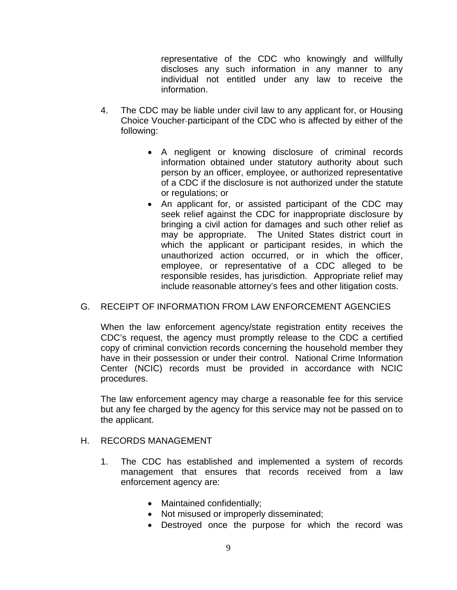representative of the CDC who knowingly and willfully discloses any such information in any manner to any individual not entitled under any law to receive the information.

- 4. The CDC may be liable under civil law to any applicant for, or Housing Choice Voucher participant of the CDC who is affected by either of the following:
	- A negligent or knowing disclosure of criminal records information obtained under statutory authority about such person by an officer, employee, or authorized representative of a CDC if the disclosure is not authorized under the statute or regulations; or
	- An applicant for, or assisted participant of the CDC may seek relief against the CDC for inappropriate disclosure by bringing a civil action for damages and such other relief as may be appropriate. The United States district court in which the applicant or participant resides, in which the unauthorized action occurred, or in which the officer, employee, or representative of a CDC alleged to be responsible resides, has jurisdiction. Appropriate relief may include reasonable attorney's fees and other litigation costs.

# G. RECEIPT OF INFORMATION FROM LAW ENFORCEMENT AGENCIES

When the law enforcement agency/state registration entity receives the CDC's request, the agency must promptly release to the CDC a certified copy of criminal conviction records concerning the household member they have in their possession or under their control. National Crime Information Center (NCIC) records must be provided in accordance with NCIC procedures.

The law enforcement agency may charge a reasonable fee for this service but any fee charged by the agency for this service may not be passed on to the applicant.

# H. RECORDS MANAGEMENT

- 1. The CDC has established and implemented a system of records management that ensures that records received from a law enforcement agency are:
	- Maintained confidentially;
	- Not misused or improperly disseminated;
	- Destroyed once the purpose for which the record was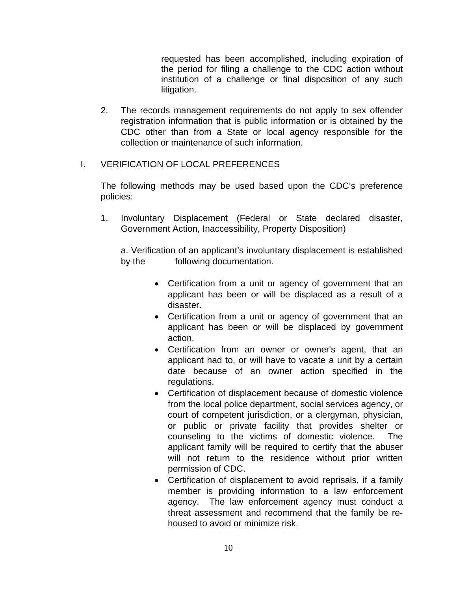requested has been accomplished, including expiration of the period for filing a challenge to the CDC action without institution of a challenge or final disposition of any such litigation.

2. The records management requirements do not apply to sex offender registration information that is public information or is obtained by the CDC other than from a State or local agency responsible for the collection or maintenance of such information.

# I. VERIFICATION OF LOCAL PREFERENCES

The following methods may be used based upon the CDC's preference policies:

1. Involuntary Displacement (Federal or State declared disaster, Government Action, Inaccessibility, Property Disposition)

a. Verification of an applicant's involuntary displacement is established by the following documentation.

- Certification from a unit or agency of government that an applicant has been or will be displaced as a result of a disaster.
- Certification from a unit or agency of government that an applicant has been or will be displaced by government action.
- Certification from an owner or owner's agent, that an applicant had to, or will have to vacate a unit by a certain date because of an owner action specified in the regulations.
- Certification of displacement because of domestic violence from the local police department, social services agency, or court of competent jurisdiction, or a clergyman, physician, or public or private facility that provides shelter or counseling to the victims of domestic violence. The applicant family will be required to certify that the abuser will not return to the residence without prior written permission of CDC.
- Certification of displacement to avoid reprisals, if a family member is providing information to a law enforcement agency. The law enforcement agency must conduct a threat assessment and recommend that the family be rehoused to avoid or minimize risk.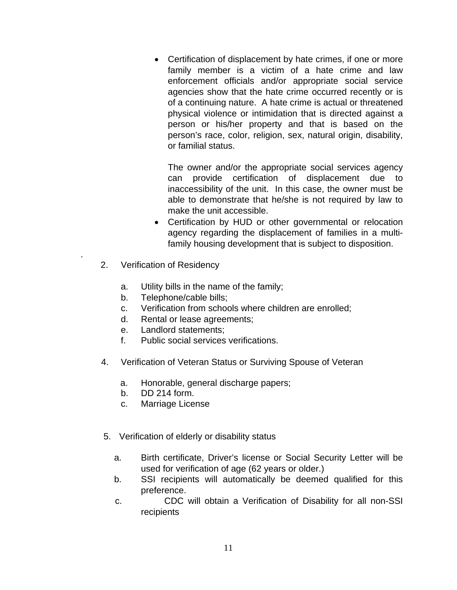• Certification of displacement by hate crimes, if one or more family member is a victim of a hate crime and law enforcement officials and/or appropriate social service agencies show that the hate crime occurred recently or is of a continuing nature. A hate crime is actual or threatened physical violence or intimidation that is directed against a person or his/her property and that is based on the person's race, color, religion, sex, natural origin, disability, or familial status.

The owner and/or the appropriate social services agency can provide certification of displacement due to inaccessibility of the unit. In this case, the owner must be able to demonstrate that he/she is not required by law to make the unit accessible.

- Certification by HUD or other governmental or relocation agency regarding the displacement of families in a multifamily housing development that is subject to disposition.
- 2. Verification of Residency

.

- a. Utility bills in the name of the family;
- b. Telephone/cable bills;
- c. Verification from schools where children are enrolled;
- d. Rental or lease agreements;
- e. Landlord statements;
- f. Public social services verifications.
- 4. Verification of Veteran Status or Surviving Spouse of Veteran
	- a. Honorable, general discharge papers;
	- b. DD 214 form.
	- c. Marriage License
- 5. Verification of elderly or disability status
	- a. Birth certificate, Driver's license or Social Security Letter will be used for verification of age (62 years or older.)
	- b. SSI recipients will automatically be deemed qualified for this preference.
	- c. CDC will obtain a Verification of Disability for all non-SSI recipients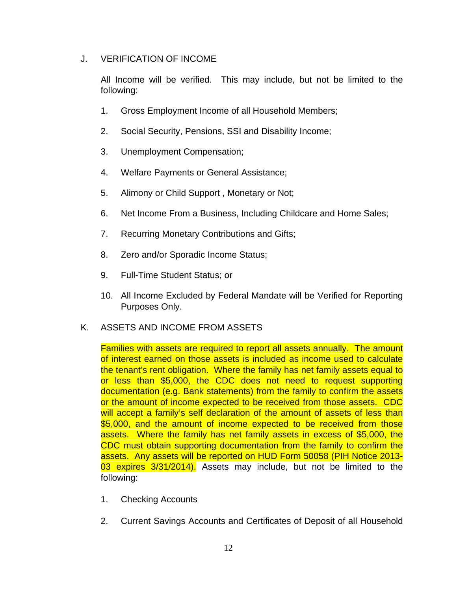# J. VERIFICATION OF INCOME

All Income will be verified. This may include, but not be limited to the following:

- 1. Gross Employment Income of all Household Members;
- 2. Social Security, Pensions, SSI and Disability Income;
- 3. Unemployment Compensation;
- 4. Welfare Payments or General Assistance;
- 5. Alimony or Child Support , Monetary or Not;
- 6. Net Income From a Business, Including Childcare and Home Sales;
- 7. Recurring Monetary Contributions and Gifts;
- 8. Zero and/or Sporadic Income Status;
- 9. Full-Time Student Status; or
- 10. All Income Excluded by Federal Mandate will be Verified for Reporting Purposes Only.

# K. ASSETS AND INCOME FROM ASSETS

Families with assets are required to report all assets annually. The amount of interest earned on those assets is included as income used to calculate the tenant's rent obligation. Where the family has net family assets equal to or less than \$5,000, the CDC does not need to request supporting documentation (e.g. Bank statements) from the family to confirm the assets or the amount of income expected to be received from those assets. CDC will accept a family's self declaration of the amount of assets of less than \$5,000, and the amount of income expected to be received from those assets. Where the family has net family assets in excess of \$5,000, the CDC must obtain supporting documentation from the family to confirm the assets. Any assets will be reported on HUD Form 50058 (PIH Notice 2013- 03 expires 3/31/2014). Assets may include, but not be limited to the following:

- 1. Checking Accounts
- 2. Current Savings Accounts and Certificates of Deposit of all Household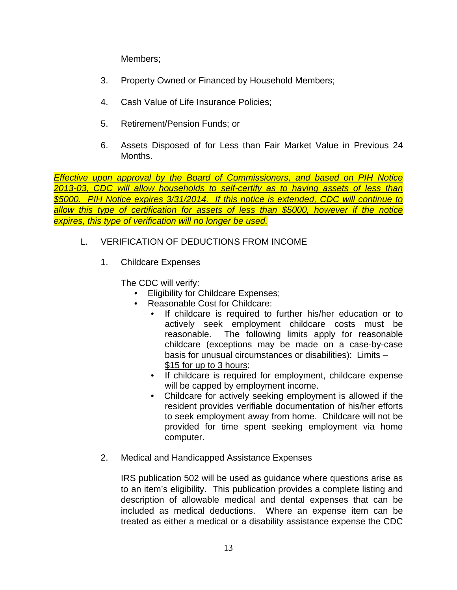Members;

- 3. Property Owned or Financed by Household Members;
- 4. Cash Value of Life Insurance Policies;
- 5. Retirement/Pension Funds; or
- 6. Assets Disposed of for Less than Fair Market Value in Previous 24 Months.

*Effective upon approval by the Board of Commissioners, and based on PIH Notice 2013-03, CDC will allow households to self-certify as to having assets of less than \$5000. PIH Notice expires 3/31/2014. If this notice is extended, CDC will continue to allow this type of certification for assets of less than \$5000, however if the notice expires, this type of verification will no longer be used.* 

- L. VERIFICATION OF DEDUCTIONS FROM INCOME
	- 1. Childcare Expenses

The CDC will verify:

- **Eligibility for Childcare Expenses;**
- Reasonable Cost for Childcare:
	- If childcare is required to further his/her education or to actively seek employment childcare costs must be reasonable. The following limits apply for reasonable childcare (exceptions may be made on a case-by-case basis for unusual circumstances or disabilities): Limits – \$15 for up to 3 hours;
	- If childcare is required for employment, childcare expense will be capped by employment income.
	- Childcare for actively seeking employment is allowed if the resident provides verifiable documentation of his/her efforts to seek employment away from home. Childcare will not be provided for time spent seeking employment via home computer.
- 2. Medical and Handicapped Assistance Expenses

IRS publication 502 will be used as guidance where questions arise as to an item's eligibility. This publication provides a complete listing and description of allowable medical and dental expenses that can be included as medical deductions. Where an expense item can be treated as either a medical or a disability assistance expense the CDC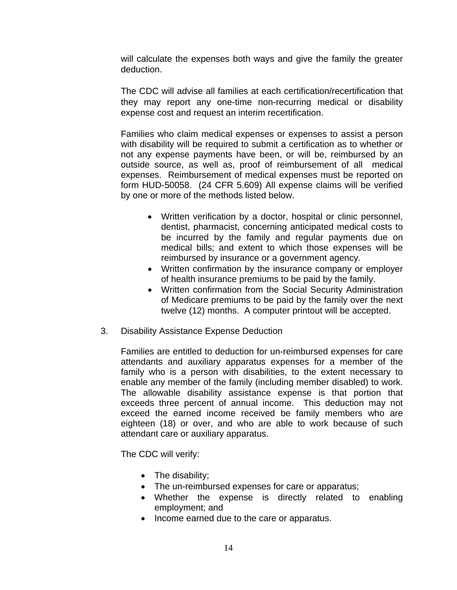will calculate the expenses both ways and give the family the greater deduction.

The CDC will advise all families at each certification/recertification that they may report any one-time non-recurring medical or disability expense cost and request an interim recertification.

Families who claim medical expenses or expenses to assist a person with disability will be required to submit a certification as to whether or not any expense payments have been, or will be, reimbursed by an outside source, as well as, proof of reimbursement of all medical expenses. Reimbursement of medical expenses must be reported on form HUD-50058. (24 CFR 5.609) All expense claims will be verified by one or more of the methods listed below.

- Written verification by a doctor, hospital or clinic personnel, dentist, pharmacist, concerning anticipated medical costs to be incurred by the family and regular payments due on medical bills; and extent to which those expenses will be reimbursed by insurance or a government agency.
- Written confirmation by the insurance company or employer of health insurance premiums to be paid by the family.
- Written confirmation from the Social Security Administration of Medicare premiums to be paid by the family over the next twelve (12) months. A computer printout will be accepted.
- 3. Disability Assistance Expense Deduction

Families are entitled to deduction for un-reimbursed expenses for care attendants and auxiliary apparatus expenses for a member of the family who is a person with disabilities, to the extent necessary to enable any member of the family (including member disabled) to work. The allowable disability assistance expense is that portion that exceeds three percent of annual income. This deduction may not exceed the earned income received be family members who are eighteen (18) or over, and who are able to work because of such attendant care or auxiliary apparatus.

The CDC will verify:

- The disability;
- The un-reimbursed expenses for care or apparatus;
- Whether the expense is directly related to enabling employment; and
- Income earned due to the care or apparatus.